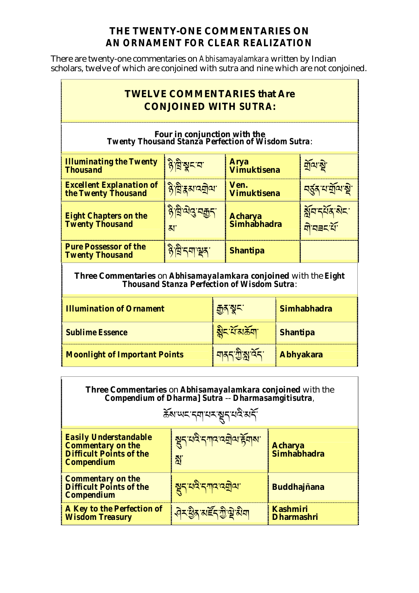## THE TWENTY-ONE COMMENTARIES ON AN ORNAMENT FOR CLEAR REALIZATION

There are twenty-one commentaries on *Abhisamayalamkara* written by Indian scholars, twelve of which are conjoined with sutra and nine which are not conjoined.

 $\overline{\phantom{a}}$ 

 $\mathbf{r}$ 

 $\Gamma$ 

|                                                                                           | <b>TWELVE COMMENTARIES that Are</b><br><b>CONJOINED WITH SUTRA:</b> |                                             |  |  |  |
|-------------------------------------------------------------------------------------------|---------------------------------------------------------------------|---------------------------------------------|--|--|--|
| Four in conjunction with the<br><b>Twenty Thousand Stanza Perfection of Wisdom Sutra:</b> |                                                                     |                                             |  |  |  |
| <mark>है द्विञ्चट य</mark>                                                                | <b>Arya</b><br><b>Vimuktisena</b>                                   | <u>মুঁঅ'ষ্টু'</u>                           |  |  |  |
| <u>দ্ভ্রী হ্রম'ব্র্মীনা</u>                                                               | Ven.<br><b>Vimuktisena</b>                                          | <mark>ন্ত্ৰ্ম ঘৰ্ষ্</mark> মান্থ            |  |  |  |
| <u>ना अंदे यश्री</u><br>Zľ                                                                | <b>Acharya</b><br>Simhabhadra                                       | <u> য়ুঁঘ বযুগ্ৰ প্ৰব</u><br><u>'קשב אַ</u> |  |  |  |
| 8 विंदग रू                                                                                | <b>Shantipa</b>                                                     |                                             |  |  |  |
|                                                                                           |                                                                     |                                             |  |  |  |

Three Commentaries on Abhisamayalamkara conjoined with the Eight<br>Thousand Stanza Perfection of Wisdom Sutra:

| <b>Illumination of Ornament</b>      | कुरु यूट                     | <b>Simhabhadra</b> |
|--------------------------------------|------------------------------|--------------------|
| <b>Sublime Essence</b>               | बुदर्यक्रम                   | <b>Shantipa</b>    |
| <b>Moonlight of Important Points</b> | <u> নাৰ্ব শ্ৰীষ্ণাৰ্বৰ '</u> | <b>Abhyakara</b>   |

<u> 1980 - Johann Barbara, martxa al</u>

| <b>Three Commentaries on Abhisamayalamkara conjoined with the</b><br>Compendium of Dharma] Sutra -- Dharmasamgitisutra,<br>สั่งพรรศานรัฐรุนฉิมรั |                                                  |                                      |  |
|--------------------------------------------------------------------------------------------------------------------------------------------------|--------------------------------------------------|--------------------------------------|--|
| <b>Easily Understandable</b><br><b>Commentary on the</b><br><b>Difficult Points of the</b><br><b>Compendium</b>                                  | <u>सू</u> न् यदे नगद दबोव हेंबाय<br>$\mathbb{N}$ | <b>Acharya</b><br>Simhabhadra        |  |
| <b>Commentary on the</b><br><b>Difficult Points of the</b><br><b>Compendium</b>                                                                  | <u> सू</u> न् यदै नगद द्युवा                     | <b>Buddhajñana</b>                   |  |
| <b>A Key to the Perfection of</b><br><b>Wisdom Treasury</b>                                                                                      | <u> सेर हैंद रार्डेंद ग्री ये होगा</u>           | <b>Kashmiri</b><br><b>Dharmashri</b> |  |